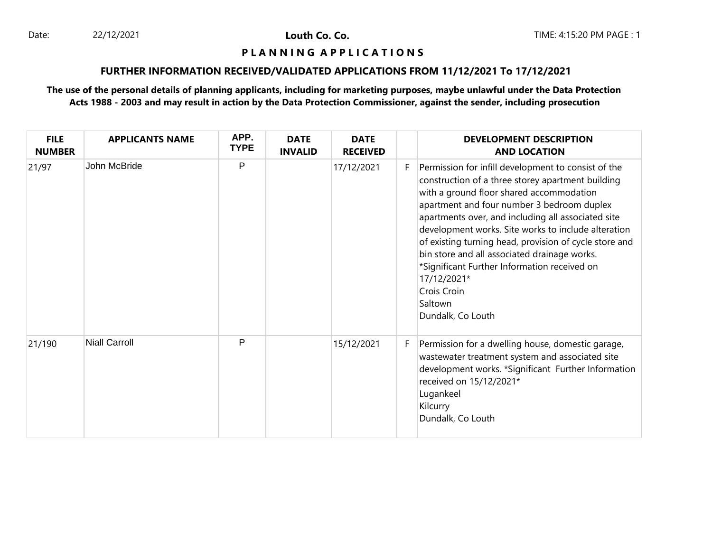Louth Co. Co.

## **P L A N N I N G A P P L I C A T I O N S**

# **FURTHER INFORMATION RECEIVED/VALIDATED APPLICATIONS FROM 11/12/2021 To 17/12/2021**

| <b>FILE</b><br><b>NUMBER</b> | <b>APPLICANTS NAME</b> | APP.<br><b>TYPE</b> | <b>DATE</b><br><b>INVALID</b> | <b>DATE</b><br><b>RECEIVED</b> |    | <b>DEVELOPMENT DESCRIPTION</b><br><b>AND LOCATION</b>                                                                                                                                                                                                                                                                                                                                                                                                                                                                                   |
|------------------------------|------------------------|---------------------|-------------------------------|--------------------------------|----|-----------------------------------------------------------------------------------------------------------------------------------------------------------------------------------------------------------------------------------------------------------------------------------------------------------------------------------------------------------------------------------------------------------------------------------------------------------------------------------------------------------------------------------------|
| 21/97                        | John McBride           | P                   |                               | 17/12/2021                     | F. | Permission for infill development to consist of the<br>construction of a three storey apartment building<br>with a ground floor shared accommodation<br>apartment and four number 3 bedroom duplex<br>apartments over, and including all associated site<br>development works. Site works to include alteration<br>of existing turning head, provision of cycle store and<br>bin store and all associated drainage works.<br>*Significant Further Information received on<br>17/12/2021*<br>Crois Croin<br>Saltown<br>Dundalk, Co Louth |
| 21/190                       | <b>Niall Carroll</b>   | P                   |                               | 15/12/2021                     | F. | Permission for a dwelling house, domestic garage,<br>wastewater treatment system and associated site<br>development works. *Significant Further Information<br>received on 15/12/2021*<br>Lugankeel<br>Kilcurry<br>Dundalk, Co Louth                                                                                                                                                                                                                                                                                                    |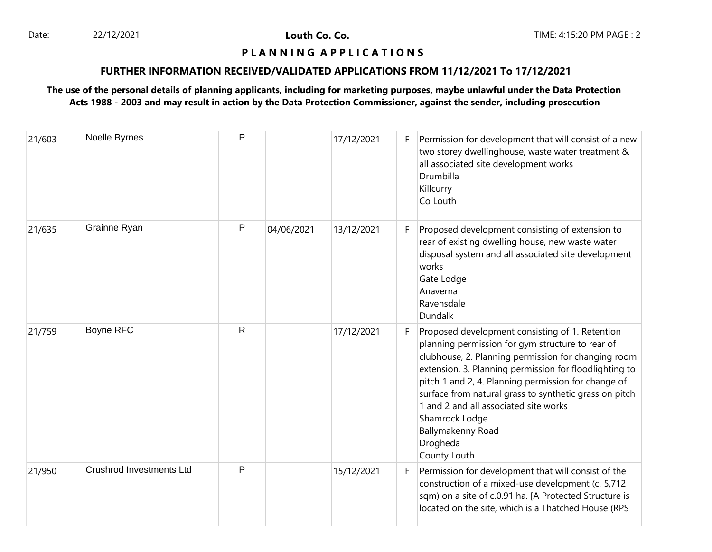Date: 22/12/2021 22/12/2021 **Louth Co. Co.** 20. 2008 22/12/2021 22/12/2021 23

Louth Co. Co.

# **P L A N N I N G A P P L I C A T I O N S**

# **FURTHER INFORMATION RECEIVED/VALIDATED APPLICATIONS FROM 11/12/2021 To 17/12/2021**

| 21/603 | Noelle Byrnes                   | $\mathsf{P}$ |            | 17/12/2021 | F  | Permission for development that will consist of a new<br>two storey dwellinghouse, waste water treatment &<br>all associated site development works<br>Drumbilla<br>Killcurry<br>Co Louth                                                                                                                                                                                                                                                         |
|--------|---------------------------------|--------------|------------|------------|----|---------------------------------------------------------------------------------------------------------------------------------------------------------------------------------------------------------------------------------------------------------------------------------------------------------------------------------------------------------------------------------------------------------------------------------------------------|
| 21/635 | Grainne Ryan                    | P            | 04/06/2021 | 13/12/2021 | F. | Proposed development consisting of extension to<br>rear of existing dwelling house, new waste water<br>disposal system and all associated site development<br>works<br>Gate Lodge<br>Anaverna<br>Ravensdale<br>Dundalk                                                                                                                                                                                                                            |
| 21/759 | Boyne RFC                       | $\mathsf{R}$ |            | 17/12/2021 | F. | Proposed development consisting of 1. Retention<br>planning permission for gym structure to rear of<br>clubhouse, 2. Planning permission for changing room<br>extension, 3. Planning permission for floodlighting to<br>pitch 1 and 2, 4. Planning permission for change of<br>surface from natural grass to synthetic grass on pitch<br>1 and 2 and all associated site works<br>Shamrock Lodge<br>Ballymakenny Road<br>Drogheda<br>County Louth |
| 21/950 | <b>Crushrod Investments Ltd</b> | P            |            | 15/12/2021 | F. | Permission for development that will consist of the<br>construction of a mixed-use development (c. 5,712<br>sqm) on a site of c.0.91 ha. [A Protected Structure is<br>located on the site, which is a Thatched House (RPS                                                                                                                                                                                                                         |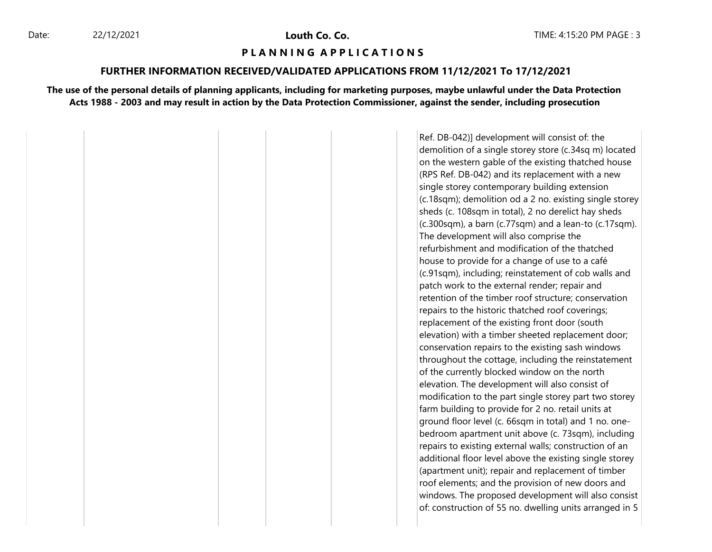#### **P L A N N I N G A P P L I C A T I O N S**

#### **FURTHER INFORMATION RECEIVED/VALIDATED APPLICATIONS FROM 11/12/2021 To 17/12/2021**

**The use of the personal details of planning applicants, including for marketing purposes, maybe unlawful under the Data Protection Acts 1988 - 2003 and may result in action by the Data Protection Commissioner, against the sender, including prosecution**

> Ref. DB-042)] development will consist of: the demolition of a single storey store (c.34sq m) located on the western gable of the existing thatched house (RPS Ref. DB-042) and its replacement with a new single storey contemporary building extension (c.18sqm); demolition od a 2 no. existing single storey sheds (c. 108sqm in total), 2 no derelict hay sheds (c.300sqm), a barn (c.77sqm) and a lean-to (c.17sqm). The development will also comprise the refurbishment and modification of the thatched house to provide for a change of use to a café (c.91sqm), including; reinstatement of cob walls and patch work to the external render; repair and retention of the timber roof structure; conservation repairs to the historic thatched roof coverings; replacement of the existing front door (south elevation) with a timber sheeted replacement door; conservation repairs to the existing sash windows throughout the cottage, including the reinstatement of the currently blocked window on the north elevation. The development will also consist of modification to the part single storey part two storey farm building to provide for 2 no. retail units at ground floor level (c. 66sqm in total) and 1 no. onebedroom apartment unit above (c. 73sqm), including repairs to existing external walls; construction of an additional floor level above the existing single storey (apartment unit); repair and replacement of timber roof elements; and the provision of new doors and windows. The proposed development will also consist of: construction of 55 no. dwelling units arranged in 5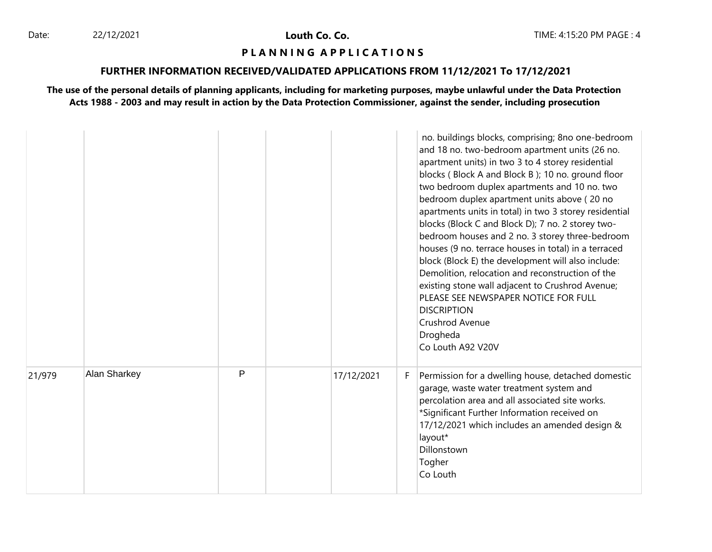Louth Co. Co.

## **P L A N N I N G A P P L I C A T I O N S**

# **FURTHER INFORMATION RECEIVED/VALIDATED APPLICATIONS FROM 11/12/2021 To 17/12/2021**

|        |              |   |            |    | no. buildings blocks, comprising; 8no one-bedroom<br>and 18 no. two-bedroom apartment units (26 no.<br>apartment units) in two 3 to 4 storey residential<br>blocks (Block A and Block B); 10 no. ground floor<br>two bedroom duplex apartments and 10 no. two<br>bedroom duplex apartment units above (20 no<br>apartments units in total) in two 3 storey residential<br>blocks (Block C and Block D); 7 no. 2 storey two-<br>bedroom houses and 2 no. 3 storey three-bedroom<br>houses (9 no. terrace houses in total) in a terraced<br>block (Block E) the development will also include:<br>Demolition, relocation and reconstruction of the<br>existing stone wall adjacent to Crushrod Avenue;<br>PLEASE SEE NEWSPAPER NOTICE FOR FULL<br><b>DISCRIPTION</b><br>Crushrod Avenue<br>Drogheda<br>Co Louth A92 V20V |
|--------|--------------|---|------------|----|------------------------------------------------------------------------------------------------------------------------------------------------------------------------------------------------------------------------------------------------------------------------------------------------------------------------------------------------------------------------------------------------------------------------------------------------------------------------------------------------------------------------------------------------------------------------------------------------------------------------------------------------------------------------------------------------------------------------------------------------------------------------------------------------------------------------|
| 21/979 | Alan Sharkey | P | 17/12/2021 | F. | Permission for a dwelling house, detached domestic<br>garage, waste water treatment system and<br>percolation area and all associated site works.<br>*Significant Further Information received on<br>17/12/2021 which includes an amended design &<br>layout*<br>Dillonstown<br>Togher<br>Co Louth                                                                                                                                                                                                                                                                                                                                                                                                                                                                                                                     |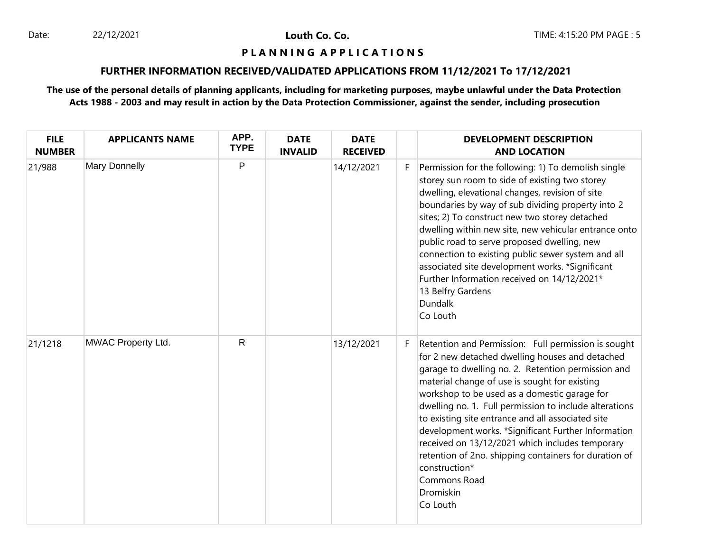Louth Co. Co.

## **P L A N N I N G A P P L I C A T I O N S**

# **FURTHER INFORMATION RECEIVED/VALIDATED APPLICATIONS FROM 11/12/2021 To 17/12/2021**

| <b>FILE</b><br><b>NUMBER</b> | <b>APPLICANTS NAME</b> | APP.<br><b>TYPE</b> | <b>DATE</b><br><b>INVALID</b> | <b>DATE</b><br><b>RECEIVED</b> |    | <b>DEVELOPMENT DESCRIPTION</b><br><b>AND LOCATION</b>                                                                                                                                                                                                                                                                                                                                                                                                                                                                                                                                                     |
|------------------------------|------------------------|---------------------|-------------------------------|--------------------------------|----|-----------------------------------------------------------------------------------------------------------------------------------------------------------------------------------------------------------------------------------------------------------------------------------------------------------------------------------------------------------------------------------------------------------------------------------------------------------------------------------------------------------------------------------------------------------------------------------------------------------|
| 21/988                       | <b>Mary Donnelly</b>   | P                   |                               | 14/12/2021                     | F. | Permission for the following: 1) To demolish single<br>storey sun room to side of existing two storey<br>dwelling, elevational changes, revision of site<br>boundaries by way of sub dividing property into 2<br>sites; 2) To construct new two storey detached<br>dwelling within new site, new vehicular entrance onto<br>public road to serve proposed dwelling, new<br>connection to existing public sewer system and all<br>associated site development works. *Significant<br>Further Information received on 14/12/2021*<br>13 Belfry Gardens<br>Dundalk<br>Co Louth                               |
| 21/1218                      | MWAC Property Ltd.     | $\mathsf{R}$        |                               | 13/12/2021                     | F. | Retention and Permission: Full permission is sought<br>for 2 new detached dwelling houses and detached<br>garage to dwelling no. 2. Retention permission and<br>material change of use is sought for existing<br>workshop to be used as a domestic garage for<br>dwelling no. 1. Full permission to include alterations<br>to existing site entrance and all associated site<br>development works. *Significant Further Information<br>received on 13/12/2021 which includes temporary<br>retention of 2no. shipping containers for duration of<br>construction*<br>Commons Road<br>Dromiskin<br>Co Louth |